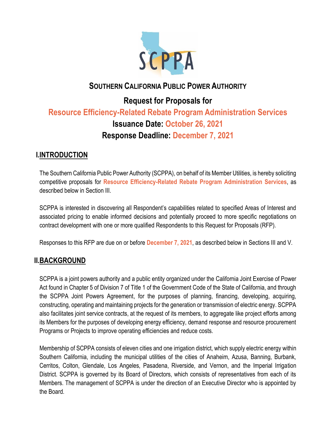

## **SOUTHERN CALIFORNIA PUBLIC POWER AUTHORITY**

# **Request for Proposals for Resource Efficiency-Related Rebate Program Administration Services Issuance Date: October 26, 2021 Response Deadline: December 7, 2021**

### **I.INTRODUCTION**

The Southern California Public Power Authority (SCPPA), on behalf of its Member Utilities, is hereby soliciting competitive proposals for **Resource Efficiency-Related Rebate Program Administration Services**, as described below in Section III.

SCPPA is interested in discovering all Respondent's capabilities related to specified Areas of Interest and associated pricing to enable informed decisions and potentially proceed to more specific negotiations on contract development with one or more qualified Respondents to this Request for Proposals (RFP).

Responses to this RFP are due on or before **December 7, 2021**, as described below in Sections III and V.

### **II.BACKGROUND**

SCPPA is a joint powers authority and a public entity organized under the California Joint Exercise of Power Act found in Chapter 5 of Division 7 of Title 1 of the Government Code of the State of California, and through the SCPPA Joint Powers Agreement, for the purposes of planning, financing, developing, acquiring, constructing, operating and maintaining projects for the generation or transmission of electric energy. SCPPA also facilitates joint service contracts, at the request of its members, to aggregate like project efforts among its Members for the purposes of developing energy efficiency, demand response and resource procurement Programs or Projects to improve operating efficiencies and reduce costs.

Membership of SCPPA consists of eleven cities and one irrigation district, which supply electric energy within Southern California, including the municipal utilities of the cities of Anaheim, Azusa, Banning, Burbank, Cerritos, Colton, Glendale, Los Angeles, Pasadena, Riverside, and Vernon, and the Imperial Irrigation District. SCPPA is governed by its Board of Directors, which consists of representatives from each of its Members. The management of SCPPA is under the direction of an Executive Director who is appointed by the Board.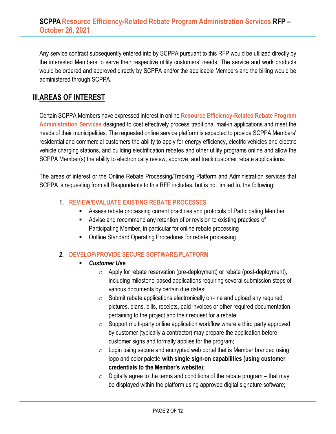Any service contract subsequently entered into by SCPPA pursuant to this RFP would be utilized directly by the interested Members to serve their respective utility customers' needs. The service and work products would be ordered and approved directly by SCPPA and/or the applicable Members and the billing would be administered through SCPPA.

### **III.AREAS OF INTEREST**

Certain SCPPA Members have expressed interest in online **Resource Efficiency-Related Rebate Program Administration Services** designed to cost effectively process traditional mail-in applications and meet the needs of their municipalities. The requested online service platform is expected to provide SCPPA Members' residential and commercial customers the ability to apply for energy efficiency, electric vehicles and electric vehicle charging stations, and building electrification rebates and other utility programs online and allow the SCPPA Member(s) the ability to electronically review, approve, and track customer rebate applications.

The areas of interest or the Online Rebate Processing/Tracking Platform and Administration services that SCPPA is requesting from all Respondents to this RFP includes, but is not limited to, the following:

#### **1. REVIEW/EVALUATE EXISTING REBATE PROCESSES**

- Assess rebate processing current practices and protocols of Participating Member
- Advise and recommend any retention of or revision to existing practices of Participating Member, in particular for online rebate processing
- Outline Standard Operating Procedures for rebate processing

#### **2. DEVELOP/PROVIDE SECURE SOFTWARE/PLATFORM**

- *Customer Use*
	- o Apply for rebate reservation (pre-deployment) or rebate (post-deployment), including milestone-based applications requiring several submission steps of various documents by certain due dates;
	- $\circ$  Submit rebate applications electronically on-line and upload any required pictures, plans, bills, receipts, paid invoices or other required documentation pertaining to the project and their request for a rebate;
	- $\circ$  Support multi-party online application workflow where a third party approved by customer (typically a contractor) may prepare the application before customer signs and formally applies for the program;
	- $\circ$  Login using secure and encrypted web portal that is Member branded using logo and color palette **with single sign-on capabilities (using customer credentials to the Member's website);**
	- $\circ$  Digitally agree to the terms and conditions of the rebate program that may be displayed within the platform using approved digital signature software;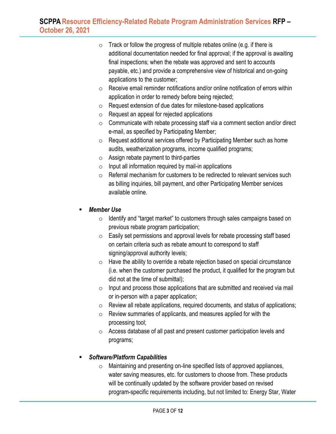- $\circ$  Track or follow the progress of multiple rebates online (e.g. if there is additional documentation needed for final approval; if the approval is awaiting final inspections; when the rebate was approved and sent to accounts payable, etc.) and provide a comprehensive view of historical and on-going applications to the customer;
- $\circ$  Receive email reminder notifications and/or online notification of errors within application in order to remedy before being rejected;
- o Request extension of due dates for milestone-based applications
- $\circ$  Request an appeal for rejected applications
- $\circ$  Communicate with rebate processing staff via a comment section and/or direct e-mail, as specified by Participating Member;
- o Request additional services offered by Participating Member such as home audits, weatherization programs, income qualified programs;
- $\circ$  Assign rebate payment to third-parties
- $\circ$  Input all information required by mail-in applications
- $\circ$  Referral mechanism for customers to be redirected to relevant services such as billing inquiries, bill payment, and other Participating Member services available online.

#### **Member Use**

- o Identify and "target market" to customers through sales campaigns based on previous rebate program participation;
- o Easily set permissions and approval levels for rebate processing staff based on certain criteria such as rebate amount to correspond to staff signing/approval authority levels;
- $\circ$  Have the ability to override a rebate rejection based on special circumstance (i.e. when the customer purchased the product, it qualified for the program but did not at the time of submittal);
- $\circ$  Input and process those applications that are submitted and received via mail or in-person with a paper application;
- o Review all rebate applications, required documents, and status of applications;
- $\circ$  Review summaries of applicants, and measures applied for with the processing tool;
- o Access database of all past and present customer participation levels and programs;

#### ▪ *Software/Platform Capabilities*

o Maintaining and presenting on-line specified lists of approved appliances, water saving measures, etc. for customers to choose from. These products will be continually updated by the software provider based on revised program-specific requirements including, but not limited to: Energy Star, Water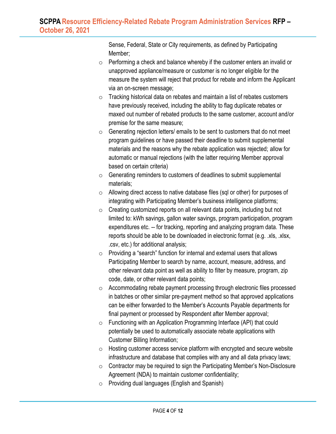Sense, Federal, State or City requirements, as defined by Participating Member;

- o Performing a check and balance whereby if the customer enters an invalid or unapproved appliance/measure or customer is no longer eligible for the measure the system will reject that product for rebate and inform the Applicant via an on-screen message;
- o Tracking historical data on rebates and maintain a list of rebates customers have previously received, including the ability to flag duplicate rebates or maxed out number of rebated products to the same customer, account and/or premise for the same measure;
- o Generating rejection letters/ emails to be sent to customers that do not meet program guidelines or have passed their deadline to submit supplemental materials and the reasons why the rebate application was rejected; allow for automatic or manual rejections (with the latter requiring Member approval based on certain criteria)
- $\circ$  Generating reminders to customers of deadlines to submit supplemental materials;
- o Allowing direct access to native database files (sql or other) for purposes of integrating with Participating Member's business intelligence platforms;
- $\circ$  Creating customized reports on all relevant data points, including but not limited to: kWh savings, gallon water savings, program participation, program expenditures etc. -- for tracking, reporting and analyzing program data. These reports should be able to be downloaded in electronic format (e.g. .xls, .xlsx, .csv, etc.) for additional analysis;
- $\circ$  Providing a "search" function for internal and external users that allows Participating Member to search by name, account, measure, address, and other relevant data point as well as ability to filter by measure, program, zip code, date, or other relevant data points;
- o Accommodating rebate payment processing through electronic files processed in batches or other similar pre-payment method so that approved applications can be either forwarded to the Member's Accounts Payable departments for final payment or processed by Respondent after Member approval;
- o Functioning with an Application Programming Interface (API) that could potentially be used to automatically associate rebate applications with Customer Billing Information;
- o Hosting customer access service platform with encrypted and secure website infrastructure and database that complies with any and all data privacy laws;
- $\circ$  Contractor may be required to sign the Participating Member's Non-Disclosure Agreement (NDA) to maintain customer confidentiality;
- o Providing dual languages (English and Spanish)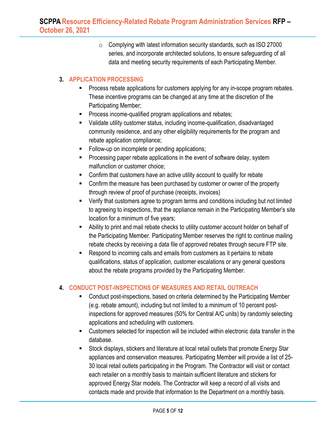$\circ$  Complying with latest information security standards, such as ISO 27000 series, and incorporate architected solutions, to ensure safeguarding of all data and meeting security requirements of each Participating Member.

#### **3. APPLICATION PROCESSING**

- Process rebate applications for customers applying for any in-scope program rebates. These incentive programs can be changed at any time at the discretion of the Participating Member;
- Process income-qualified program applications and rebates;
- Validate utility customer status, including income-qualification, disadvantaged community residence, and any other eligibility requirements for the program and rebate application compliance;
- Follow-up on incomplete or pending applications;
- **•** Processing paper rebate applications in the event of software delay, system malfunction or customer choice;
- Confirm that customers have an active utility account to qualify for rebate
- Confirm the measure has been purchased by customer or owner of the property through review of proof of purchase (receipts, invoices)
- Verify that customers agree to program terms and conditions including but not limited to agreeing to inspections, that the appliance remain in the Participating Member's site location for a minimum of five years;
- **EXECT** Ability to print and mail rebate checks to utility customer account holder on behalf of the Participating Member. Participating Member reserves the right to continue mailing rebate checks by receiving a data file of approved rebates through secure FTP site.
- Respond to incoming calls and emails from customers as it pertains to rebate qualifications, status of application, customer escalations or any general questions about the rebate programs provided by the Participating Member.

#### **4. CONDUCT POST-INSPECTIONS OF MEASURES AND RETAIL OUTREACH**

- Conduct post-inspections, based on criteria determined by the Participating Member (e.g. rebate amount), including but not limited to a minimum of 10 percent postinspections for approved measures (50% for Central A/C units) by randomly selecting applications and scheduling with customers.
- Customers selected for inspection will be included within electronic data transfer in the database.
- Stock displays, stickers and literature at local retail outlets that promote Energy Star appliances and conservation measures. Participating Member will provide a list of 25- 30 local retail outlets participating in the Program. The Contractor will visit or contact each retailer on a monthly basis to maintain sufficient literature and stickers for approved Energy Star models. The Contractor will keep a record of all visits and contacts made and provide that information to the Department on a monthly basis.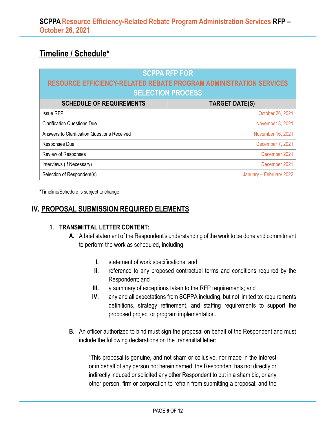# **Timeline / Schedule\***

| <b>SCPPA RFP FOR</b>                                                      |                         |
|---------------------------------------------------------------------------|-------------------------|
| <b>RESOURCE EFFICIENCY-RELATED REBATE PROGRAM ADMINISTRATION SERVICES</b> |                         |
| <b>SELECTION PROCESS</b>                                                  |                         |
| <b>SCHEDULE OF REQUIREMENTS</b>                                           | <b>TARGET DATE(S)</b>   |
| <b>Issue RFP</b>                                                          | October 26, 2021        |
| <b>Clarification Questions Due</b>                                        | November 8, 2021        |
| Answers to Clarification Questions Received                               | November 16, 2021       |
| Responses Due                                                             | December 7, 2021        |
| Review of Responses                                                       | December 2021           |
| Interviews (If Necessary)                                                 | December 2021           |
| Selection of Respondent(s)                                                | January - February 2022 |

**\***Timeline/Schedule is subject to change.

### **IV. PROPOSAL SUBMISSION REQUIRED ELEMENTS**

#### **1. TRANSMITTAL LETTER CONTENT:**

- **A.** A brief statement of the Respondent's understanding of the work to be done and commitment to perform the work as scheduled, including:
	- **I.** statement of work specifications; and
	- **II.** reference to any proposed contractual terms and conditions required by the Respondent; and
	- **III.** a summary of exceptions taken to the RFP requirements; and
	- **IV.** any and all expectations from SCPPA including, but not limited to: requirements definitions, strategy refinement, and staffing requirements to support the proposed project or program implementation.
- **B.** An officer authorized to bind must sign the proposal on behalf of the Respondent and must include the following declarations on the transmittal letter:

"This proposal is genuine, and not sham or collusive, nor made in the interest or in behalf of any person not herein named; the Respondent has not directly or indirectly induced or solicited any other Respondent to put in a sham bid, or any other person, firm or corporation to refrain from submitting a proposal; and the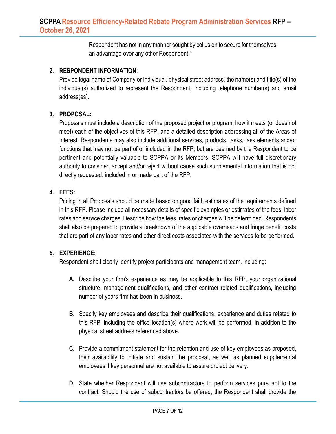Respondent has not in any manner sought by collusion to secure for themselves an advantage over any other Respondent."

#### **2. RESPONDENT INFORMATION**:

Provide legal name of Company or Individual, physical street address, the name(s) and title(s) of the individual(s) authorized to represent the Respondent, including telephone number(s) and email address(es).

#### **3. PROPOSAL:**

Proposals must include a description of the proposed project or program, how it meets (or does not meet) each of the objectives of this RFP, and a detailed description addressing all of the Areas of Interest. Respondents may also include additional services, products, tasks, task elements and/or functions that may not be part of or included in the RFP, but are deemed by the Respondent to be pertinent and potentially valuable to SCPPA or its Members. SCPPA will have full discretionary authority to consider, accept and/or reject without cause such supplemental information that is not directly requested, included in or made part of the RFP.

#### **4. FEES:**

Pricing in all Proposals should be made based on good faith estimates of the requirements defined in this RFP. Please include all necessary details of specific examples or estimates of the fees, labor rates and service charges. Describe how the fees, rates or charges will be determined. Respondents shall also be prepared to provide a breakdown of the applicable overheads and fringe benefit costs that are part of any labor rates and other direct costs associated with the services to be performed.

#### **5. EXPERIENCE:**

Respondent shall clearly identify project participants and management team, including:

- **A.** Describe your firm's experience as may be applicable to this RFP, your organizational structure, management qualifications, and other contract related qualifications, including number of years firm has been in business.
- **B.** Specify key employees and describe their qualifications, experience and duties related to this RFP, including the office location(s) where work will be performed, in addition to the physical street address referenced above.
- **C.** Provide a commitment statement for the retention and use of key employees as proposed, their availability to initiate and sustain the proposal, as well as planned supplemental employees if key personnel are not available to assure project delivery.
- **D.** State whether Respondent will use subcontractors to perform services pursuant to the contract. Should the use of subcontractors be offered, the Respondent shall provide the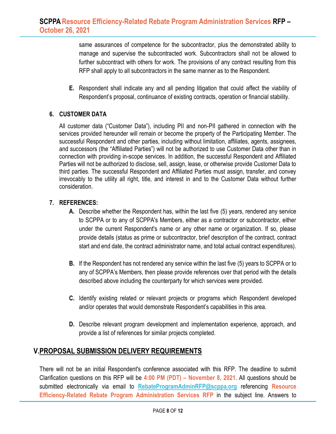same assurances of competence for the subcontractor, plus the demonstrated ability to manage and supervise the subcontracted work. Subcontractors shall not be allowed to further subcontract with others for work. The provisions of any contract resulting from this RFP shall apply to all subcontractors in the same manner as to the Respondent.

**E.** Respondent shall indicate any and all pending litigation that could affect the viability of Respondent's proposal, continuance of existing contracts, operation or financial stability.

#### **6. CUSTOMER DATA**

All customer data ("Customer Data"), including PII and non-PII gathered in connection with the services provided hereunder will remain or become the property of the Participating Member. The successful Respondent and other parties, including without limitation, affiliates, agents, assignees, and successors (the "Affiliated Parties") will not be authorized to use Customer Data other than in connection with providing in-scope services. In addition, the successful Respondent and Affiliated Parties will not be authorized to disclose, sell, assign, lease, or otherwise provide Customer Data to third parties. The successful Respondent and Affiliated Parties must assign, transfer, and convey irrevocably to the utility all right, title, and interest in and to the Customer Data without further consideration.

#### **7. REFERENCES:**

- **A.** Describe whether the Respondent has, within the last five (5) years, rendered any service to SCPPA or to any of SCPPA's Members, either as a contractor or subcontractor, either under the current Respondent's name or any other name or organization. If so, please provide details (status as prime or subcontractor, brief description of the contract, contract start and end date, the contract administrator name, and total actual contract expenditures).
- **B.** If the Respondent has not rendered any service within the last five (5) years to SCPPA or to any of SCPPA's Members, then please provide references over that period with the details described above including the counterparty for which services were provided.
- **C.** Identify existing related or relevant projects or programs which Respondent developed and/or operates that would demonstrate Respondent's capabilities in this area.
- **D.** Describe relevant program development and implementation experience, approach, and provide a list of references for similar projects completed.

### **V.PROPOSAL SUBMISSION DELIVERY REQUIREMENTS**

There will not be an initial Respondent's conference associated with this RFP. The deadline to submit Clarification questions on this RFP will be **4:00 PM (PDT) – November 8, 2021**. All questions should be submitted electronically via email to **[RebateProgramAdminRFP@scppa.org](mailto:RebateProgramAdminRFP@scppa.org)** referencing **Resource Efficiency-Related Rebate Program Administration Services RFP** in the subject line. Answers to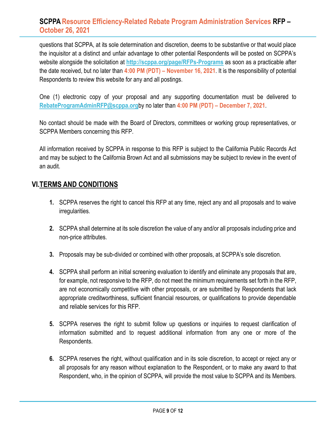questions that SCPPA, at its sole determination and discretion, deems to be substantive or that would place the inquisitor at a distinct and unfair advantage to other potential Respondents will be posted on SCPPA's website alongside the solicitation at **<http://scppa.org/page/RFPs-Programs>** as soon as a practicable after the date received, but no later than **4:00 PM (PDT) – November 16, 2021**. It is the responsibility of potential Respondents to review this website for any and all postings.

One (1) electronic copy of your proposal and any supporting documentation must be delivered to **[RebateProgramAdminRFP@scppa.org](mailto:RebateProgramAdminRFP@scppa.org)**by no later than **4:00 PM (PDT) – December 7, 2021**.

No contact should be made with the Board of Directors, committees or working group representatives, or SCPPA Members concerning this RFP.

All information received by SCPPA in response to this RFP is subject to the California Public Records Act and may be subject to the California Brown Act and all submissions may be subject to review in the event of an audit.

### **VI.TERMS AND CONDITIONS**

- **1.** SCPPA reserves the right to cancel this RFP at any time, reject any and all proposals and to waive irregularities.
- **2.** SCPPA shall determine at its sole discretion the value of any and/or all proposals including price and non-price attributes.
- **3.** Proposals may be sub-divided or combined with other proposals, at SCPPA's sole discretion.
- **4.** SCPPA shall perform an initial screening evaluation to identify and eliminate any proposals that are, for example, not responsive to the RFP, do not meet the minimum requirements set forth in the RFP, are not economically competitive with other proposals, or are submitted by Respondents that lack appropriate creditworthiness, sufficient financial resources, or qualifications to provide dependable and reliable services for this RFP.
- **5.** SCPPA reserves the right to submit follow up questions or inquiries to request clarification of information submitted and to request additional information from any one or more of the Respondents.
- **6.** SCPPA reserves the right, without qualification and in its sole discretion, to accept or reject any or all proposals for any reason without explanation to the Respondent, or to make any award to that Respondent, who, in the opinion of SCPPA, will provide the most value to SCPPA and its Members.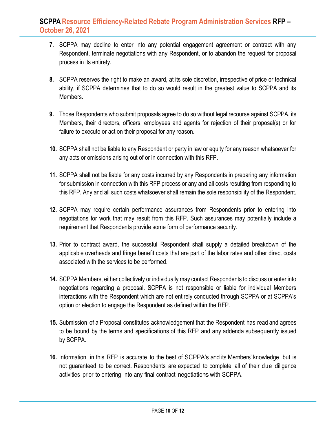- **7.** SCPPA may decline to enter into any potential engagement agreement or contract with any Respondent, terminate negotiations with any Respondent, or to abandon the request for proposal process in its entirety.
- **8.** SCPPA reserves the right to make an award, at its sole discretion, irrespective of price or technical ability, if SCPPA determines that to do so would result in the greatest value to SCPPA and its Members.
- **9.** Those Respondents who submit proposals agree to do so without legal recourse against SCPPA, its Members, their directors, officers, employees and agents for rejection of their proposal(s) or for failure to execute or act on their proposal for any reason.
- **10.** SCPPA shall not be liable to any Respondent or party in law or equity for any reason whatsoever for any acts or omissions arising out of or in connection with this RFP.
- **11.** SCPPA shall not be liable for any costs incurred by any Respondents in preparing any information for submission in connection with this RFP process or any and all costs resulting from responding to this RFP. Any and all such costs whatsoever shall remain the sole responsibility of the Respondent.
- **12.** SCPPA may require certain performance assurances from Respondents prior to entering into negotiations for work that may result from this RFP. Such assurances may potentially include a requirement that Respondents provide some form of performance security.
- **13.** Prior to contract award, the successful Respondent shall supply a detailed breakdown of the applicable overheads and fringe benefit costs that are part of the labor rates and other direct costs associated with the services to be performed.
- **14.** SCPPA Members, either collectively or individually may contact Respondents to discuss or enter into negotiations regarding a proposal. SCPPA is not responsible or liable for individual Members interactions with the Respondent which are not entirely conducted through SCPPA or at SCPPA's option or election to engage the Respondent as defined within the RFP.
- **15.** Submission of a Proposal constitutes acknowledgement that the Respondent has read and agrees to be bound by the terms and specifications of this RFP and any addenda subsequently issued by SCPPA.
- **16.** Information in this RFP is accurate to the best of SCPPA's and its Members' knowledge but is not guaranteed to be correct. Respondents are expected to complete all of their due diligence activities prior to entering into any final contract negotiations with SCPPA.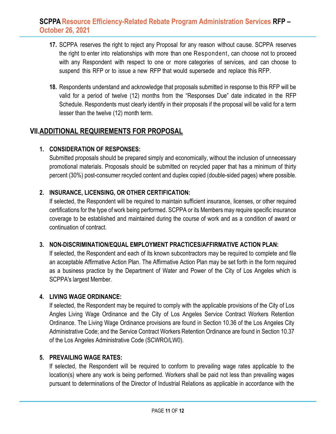- **17.** SCPPA reserves the right to reject any Proposal for any reason without cause. SCPPA reserves the right to enter into relationships with more than one Respondent, can choose not to proceed with any Respondent with respect to one or more categories of services, and can choose to suspend this RFP or to issue a new RFP that would supersede and replace this RFP.
- **18.** Respondents understand and acknowledge that proposals submitted in response to this RFP will be valid for a period of twelve (12) months from the "Responses Due" date indicated in the RFP Schedule. Respondents must clearly identify in their proposals if the proposal will be valid for a term lesser than the twelve (12) month term.

### **VII.ADDITIONAL REQUIREMENTS FOR PROPOSAL**

#### **1. CONSIDERATION OF RESPONSES:**

Submitted proposals should be prepared simply and economically, without the inclusion of unnecessary promotional materials. Proposals should be submitted on recycled paper that has a minimum of thirty percent (30%) post-consumer recycled content and duplex copied (double-sided pages) where possible.

#### **2. INSURANCE, LICENSING, OR OTHER CERTIFICATION:**

If selected, the Respondent will be required to maintain sufficient insurance, licenses, or other required certifications for the type of work being performed. SCPPA or its Members may require specific insurance coverage to be established and maintained during the course of work and as a condition of award or continuation of contract.

#### **3. NON-DISCRIMINATION/EQUAL EMPLOYMENT PRACTICES/AFFIRMATIVE ACTION PLAN:**

If selected, the Respondent and each of its known subcontractors may be required to complete and file an acceptable Affirmative Action Plan. The Affirmative Action Plan may be set forth in the form required as a business practice by the Department of Water and Power of the City of Los Angeles which is SCPPA's largest Member.

#### **4. LIVING WAGE ORDINANCE:**

If selected, the Respondent may be required to comply with the applicable provisions of the City of Los Angles Living Wage Ordinance and the City of Los Angeles Service Contract Workers Retention Ordinance. The Living Wage Ordinance provisions are found in Section 10.36 of the Los Angeles City Administrative Code; and the Service Contract Workers Retention Ordinance are found in Section 10.37 of the Los Angeles Administrative Code (SCWRO/LW0).

#### **5. PREVAILING WAGE RATES:**

If selected, the Respondent will be required to conform to prevailing wage rates applicable to the location(s) where any work is being performed. Workers shall be paid not less than prevailing wages pursuant to determinations of the Director of Industrial Relations as applicable in accordance with the